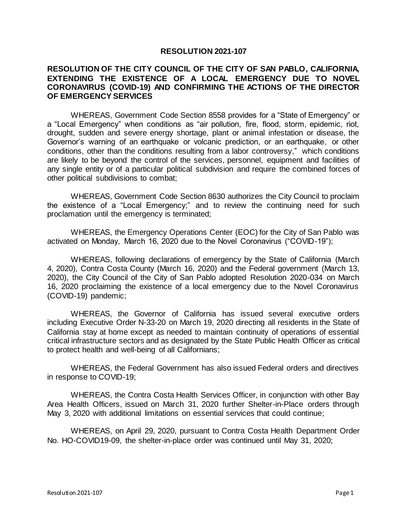## **RESOLUTION 2021-107**

## **RESOLUTION OF THE CITY COUNCIL OF THE CITY OF SAN PABLO, CALIFORNIA, EXTENDING THE EXISTENCE OF A LOCAL EMERGENCY DUE TO NOVEL CORONAVIRUS (COVID-19) AND CONFIRMING THE ACTIONS OF THE DIRECTOR OF EMERGENCY SERVICES**

WHEREAS, Government Code Section 8558 provides for a "State of Emergency" or a "Local Emergency" when conditions as "air pollution, fire, flood, storm, epidemic, riot, drought, sudden and severe energy shortage, plant or animal infestation or disease, the Governor's warning of an earthquake or volcanic prediction, or an earthquake, or other conditions, other than the conditions resulting from a labor controversy," which conditions are likely to be beyond the control of the services, personnel, equipment and facilities of any single entity or of a particular political subdivision and require the combined forces of other political subdivisions to combat;

WHEREAS, Government Code Section 8630 authorizes the City Council to proclaim the existence of a "Local Emergency;" and to review the continuing need for such proclamation until the emergency is terminated;

WHEREAS, the Emergency Operations Center (EOC) for the City of San Pablo was activated on Monday, March 16, 2020 due to the Novel Coronavirus ("COVID-19");

WHEREAS, following declarations of emergency by the State of California (March 4, 2020), Contra Costa County (March 16, 2020) and the Federal government (March 13, 2020), the City Council of the City of San Pablo adopted Resolution 2020-034 on March 16, 2020 proclaiming the existence of a local emergency due to the Novel Coronavirus (COVID-19) pandemic;

WHEREAS, the Governor of California has issued several executive orders including Executive Order N-33-20 on March 19, 2020 directing all residents in the State of California stay at home except as needed to maintain continuity of operations of essential critical infrastructure sectors and as designated by the State Public Health Officer as critical to protect health and well-being of all Californians;

WHEREAS, the Federal Government has also issued Federal orders and directives in response to COVID-19;

WHEREAS, the Contra Costa Health Services Officer, in conjunction with other Bay Area Health Officers, issued on March 31, 2020 further Shelter-in-Place orders through May 3, 2020 with additional limitations on essential services that could continue;

WHEREAS, on April 29, 2020, pursuant to Contra Costa Health Department Order No. HO-COVID19-09, the shelter-in-place order was continued until May 31, 2020;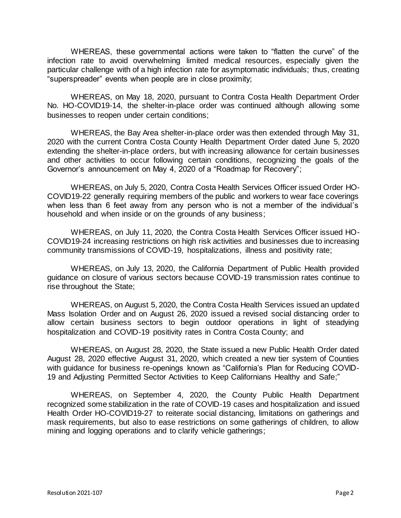WHEREAS, these governmental actions were taken to "flatten the curve" of the infection rate to avoid overwhelming limited medical resources, especially given the particular challenge with of a high infection rate for asymptomatic individuals; thus, creating "superspreader" events when people are in close proximity;

WHEREAS, on May 18, 2020, pursuant to Contra Costa Health Department Order No. HO-COVID19-14, the shelter-in-place order was continued although allowing some businesses to reopen under certain conditions;

WHEREAS, the Bay Area shelter-in-place order was then extended through May 31, 2020 with the current Contra Costa County Health Department Order dated June 5, 2020 extending the shelter-in-place orders, but with increasing allowance for certain businesses and other activities to occur following certain conditions, recognizing the goals of the Governor's announcement on May 4, 2020 of a "Roadmap for Recovery";

WHEREAS, on July 5, 2020, Contra Costa Health Services Officer issued Order HO-COVID19-22 generally requiring members of the public and workers to wear face coverings when less than 6 feet away from any person who is not a member of the individual's household and when inside or on the grounds of any business;

WHEREAS, on July 11, 2020, the Contra Costa Health Services Officer issued HO-COVID19-24 increasing restrictions on high risk activities and businesses due to increasing community transmissions of COVID-19, hospitalizations, illness and positivity rate;

WHEREAS, on July 13, 2020, the California Department of Public Health provided guidance on closure of various sectors because COVID-19 transmission rates continue to rise throughout the State;

WHEREAS, on August 5, 2020, the Contra Costa Health Services issued an updated Mass Isolation Order and on August 26, 2020 issued a revised social distancing order to allow certain business sectors to begin outdoor operations in light of steadying hospitalization and COVID-19 positivity rates in Contra Costa County; and

WHEREAS, on August 28, 2020, the State issued a new Public Health Order dated August 28, 2020 effective August 31, 2020, which created a new tier system of Counties with guidance for business re-openings known as "California's Plan for Reducing COVID-19 and Adjusting Permitted Sector Activities to Keep Californians Healthy and Safe;"

WHEREAS, on September 4, 2020, the County Public Health Department recognized some stabilization in the rate of COVID-19 cases and hospitalization and issued Health Order HO-COVID19-27 to reiterate social distancing, limitations on gatherings and mask requirements, but also to ease restrictions on some gatherings of children, to allow mining and logging operations and to clarify vehicle gatherings;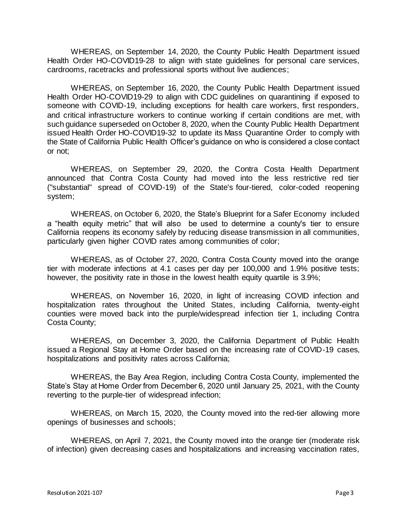WHEREAS, on September 14, 2020, the County Public Health Department issued Health Order HO-COVID19-28 to align with state guidelines for personal care services, cardrooms, racetracks and professional sports without live audiences;

WHEREAS, on September 16, 2020, the County Public Health Department issued Health Order HO-COVID19-29 to align with CDC guidelines on quarantining if exposed to someone with COVID-19, including exceptions for health care workers, first responders, and critical infrastructure workers to continue working if certain conditions are met, with such guidance superseded on October 8, 2020, when the County Public Health Department issued Health Order HO-COVID19-32 to update its Mass Quarantine Order to comply with the State of California Public Health Officer's guidance on who is considered a close contact or not;

WHEREAS, on September 29, 2020, the Contra Costa Health Department announced that Contra Costa County had moved into the less restrictive red tier ("substantial" spread of COVID-19) of the State's [four-tiered, color-coded reopening](https://covid19.ca.gov/safer-economy/)  [system;](https://covid19.ca.gov/safer-economy/)

WHEREAS, on October 6, 2020, the State's [Blueprint for a Safer Economy](https://www.cdph.ca.gov/Programs/CID/DCDC/Pages/COVID-19/COVID19CountyMonitoringOverview.aspx) included a "health equity metric" that will also be used to determine a county's tier to ensure California reopens its economy safely by reducing disease transmission in all communities, particularly given higher COVID rates among communities of color;

WHEREAS, as of October 27, 2020, Contra Costa County moved into the orange tier with moderate infections at 4.1 cases per day per 100,000 and 1.9% positive tests; however, the positivity rate in those in the lowest health equity quartile is 3.9%;

WHEREAS, on November 16, 2020, in light of increasing COVID infection and hospitalization rates throughout the United States, including California, twenty-eight counties were moved back into the purple/widespread infection tier 1, including Contra Costa County;

WHEREAS, on December 3, 2020, the California Department of Public Health issued a Regional Stay at Home Order based on the increasing rate of COVID-19 cases, hospitalizations and positivity rates across California;

WHEREAS, the Bay Area Region, including Contra Costa County, implemented the State's Stay at Home Order from December 6, 2020 until January 25, 2021, with the County reverting to the purple-tier of widespread infection;

WHEREAS, on March 15, 2020, the County moved into the red-tier allowing more openings of businesses and schools;

WHEREAS, on April 7, 2021, the County moved into the orange tier (moderate risk of infection) given decreasing cases and hospitalizations and increasing vaccination rates,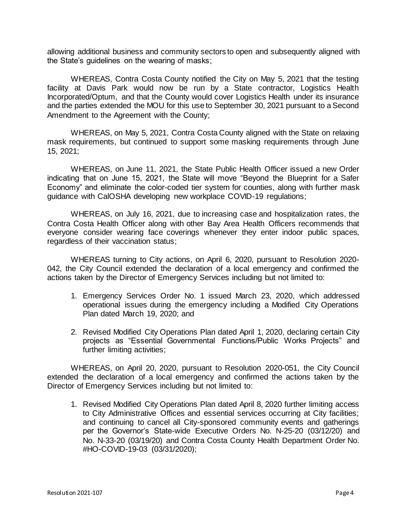allowing additional business and community sectors to open and subsequently aligned with the State's guidelines on the wearing of masks;

WHEREAS, Contra Costa County notified the City on May 5, 2021 that the testing facility at Davis Park would now be run by a State contractor, Logistics Health Incorporated/Optum, and that the County would cover Logistics Health under its insurance and the parties extended the MOU for this use to September 30, 2021 pursuant to a Second Amendment to the Agreement with the County;

WHEREAS, on May 5, 2021, Contra Costa County aligned with the State on relaxing mask requirements, but continued to support some masking requirements through June 15, 2021;

WHEREAS, on June 11, 2021, the State Public Health Officer issued a new Order indicating that on June 15, 2021, the State will move "Beyond the Blueprint for a Safer Economy" and eliminate the color-coded tier system for counties, along with further mask guidance with CalOSHA developing new workplace COVID-19 regulations;

WHEREAS, on July 16, 2021, due to increasing case and hospitalization rates, the Contra Costa Health Officer along with other Bay Area Health Officers recommends that everyone consider wearing face coverings whenever they enter indoor public spaces, regardless of their vaccination status;

WHEREAS turning to City actions, on April 6, 2020, pursuant to Resolution 2020- 042, the City Council extended the declaration of a local emergency and confirmed the actions taken by the Director of Emergency Services including but not limited to:

- 1. Emergency Services Order No. 1 issued March 23, 2020, which addressed operational issues during the emergency including a Modified City Operations Plan dated March 19, 2020; and
- 2. Revised Modified City Operations Plan dated April 1, 2020, declaring certain City projects as "Essential Governmental Functions/Public Works Projects" and further limiting activities;

WHEREAS, on April 20, 2020, pursuant to Resolution 2020-051, the City Council extended the declaration of a local emergency and confirmed the actions taken by the Director of Emergency Services including but not limited to:

1. Revised Modified City Operations Plan dated April 8, 2020 further limiting access to City Administrative Offices and essential services occurring at City facilities; and continuing to cancel all City-sponsored community events and gatherings per the Governor's State-wide Executive Orders No. N-25-20 (03/12/20) and No. N-33-20 (03/19/20) and Contra Costa County Health Department Order No. #HO-COVID-19-03 (03/31/2020);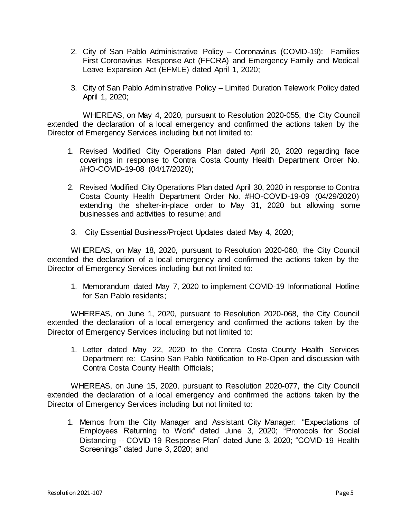- 2. City of San Pablo Administrative Policy Coronavirus (COVID-19): Families First Coronavirus Response Act (FFCRA) and Emergency Family and Medical Leave Expansion Act (EFMLE) dated April 1, 2020;
- 3. City of San Pablo Administrative Policy Limited Duration Telework Policy dated April 1, 2020;

WHEREAS, on May 4, 2020, pursuant to Resolution 2020-055, the City Council extended the declaration of a local emergency and confirmed the actions taken by the Director of Emergency Services including but not limited to:

- 1. Revised Modified City Operations Plan dated April 20, 2020 regarding face coverings in response to Contra Costa County Health Department Order No. #HO-COVID-19-08 (04/17/2020);
- 2. Revised Modified City Operations Plan dated April 30, 2020 in response to Contra Costa County Health Department Order No. #HO-COVID-19-09 (04/29/2020) extending the shelter-in-place order to May 31, 2020 but allowing some businesses and activities to resume; and
- 3. City Essential Business/Project Updates dated May 4, 2020;

WHEREAS, on May 18, 2020, pursuant to Resolution 2020-060, the City Council extended the declaration of a local emergency and confirmed the actions taken by the Director of Emergency Services including but not limited to:

1. Memorandum dated May 7, 2020 to implement COVID-19 Informational Hotline for San Pablo residents;

WHEREAS, on June 1, 2020, pursuant to Resolution 2020-068, the City Council extended the declaration of a local emergency and confirmed the actions taken by the Director of Emergency Services including but not limited to:

1. Letter dated May 22, 2020 to the Contra Costa County Health Services Department re: Casino San Pablo Notification to Re-Open and discussion with Contra Costa County Health Officials;

WHEREAS, on June 15, 2020, pursuant to Resolution 2020-077, the City Council extended the declaration of a local emergency and confirmed the actions taken by the Director of Emergency Services including but not limited to:

1. Memos from the City Manager and Assistant City Manager: "Expectations of Employees Returning to Work" dated June 3, 2020; "Protocols for Social Distancing -- COVID-19 Response Plan" dated June 3, 2020; "COVID-19 Health Screenings" dated June 3, 2020; and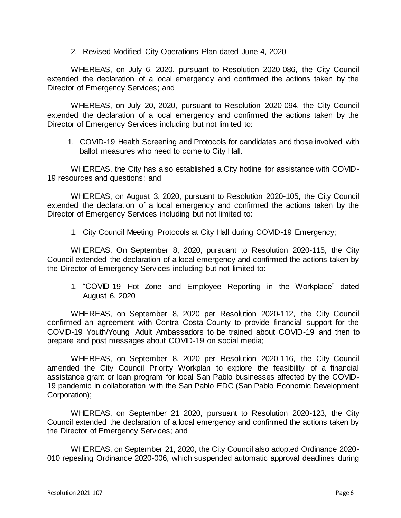2. Revised Modified City Operations Plan dated June 4, 2020

WHEREAS, on July 6, 2020, pursuant to Resolution 2020-086, the City Council extended the declaration of a local emergency and confirmed the actions taken by the Director of Emergency Services; and

WHEREAS, on July 20, 2020, pursuant to Resolution 2020-094, the City Council extended the declaration of a local emergency and confirmed the actions taken by the Director of Emergency Services including but not limited to:

1. COVID-19 Health Screening and Protocols for candidates and those involved with ballot measures who need to come to City Hall.

WHEREAS, the City has also established a City hotline for assistance with COVID-19 resources and questions; and

WHEREAS, on August 3, 2020, pursuant to Resolution 2020-105, the City Council extended the declaration of a local emergency and confirmed the actions taken by the Director of Emergency Services including but not limited to:

1. City Council Meeting Protocols at City Hall during COVID-19 Emergency;

WHEREAS, On September 8, 2020, pursuant to Resolution 2020-115, the City Council extended the declaration of a local emergency and confirmed the actions taken by the Director of Emergency Services including but not limited to:

1. "COVID-19 Hot Zone and Employee Reporting in the Workplace" dated August 6, 2020

WHEREAS, on September 8, 2020 per Resolution 2020-112, the City Council confirmed an agreement with Contra Costa County to provide financial support for the COVID-19 Youth/Young Adult Ambassadors to be trained about COVID-19 and then to prepare and post messages about COVID-19 on social media;

WHEREAS, on September 8, 2020 per Resolution 2020-116, the City Council amended the City Council Priority Workplan to explore the feasibility of a financial assistance grant or loan program for local San Pablo businesses affected by the COVID-19 pandemic in collaboration with the San Pablo EDC (San Pablo Economic Development Corporation);

WHEREAS, on September 21 2020, pursuant to Resolution 2020-123, the City Council extended the declaration of a local emergency and confirmed the actions taken by the Director of Emergency Services; and

WHEREAS, on September 21, 2020, the City Council also adopted Ordinance 2020- 010 repealing Ordinance 2020-006, which suspended automatic approval deadlines during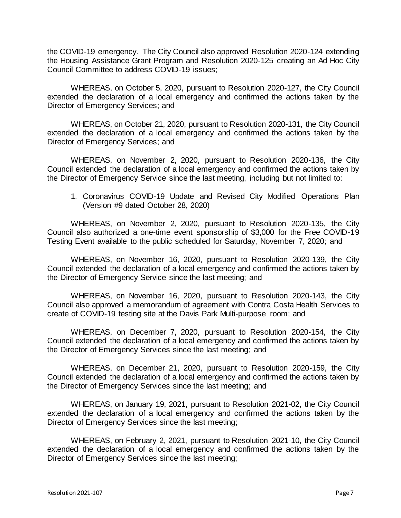the COVID-19 emergency. The City Council also approved Resolution 2020-124 extending the Housing Assistance Grant Program and Resolution 2020-125 creating an Ad Hoc City Council Committee to address COVID-19 issues;

WHEREAS, on October 5, 2020, pursuant to Resolution 2020-127, the City Council extended the declaration of a local emergency and confirmed the actions taken by the Director of Emergency Services; and

WHEREAS, on October 21, 2020, pursuant to Resolution 2020-131, the City Council extended the declaration of a local emergency and confirmed the actions taken by the Director of Emergency Services; and

WHEREAS, on November 2, 2020, pursuant to Resolution 2020-136, the City Council extended the declaration of a local emergency and confirmed the actions taken by the Director of Emergency Service since the last meeting, including but not limited to:

1. Coronavirus COVID-19 Update and Revised City Modified Operations Plan (Version #9 dated October 28, 2020)

WHEREAS, on November 2, 2020, pursuant to Resolution 2020-135, the City Council also authorized a one-time event sponsorship of \$3,000 for the Free COVID-19 Testing Event available to the public scheduled for Saturday, November 7, 2020; and

WHEREAS, on November 16, 2020, pursuant to Resolution 2020-139, the City Council extended the declaration of a local emergency and confirmed the actions taken by the Director of Emergency Service since the last meeting; and

WHEREAS, on November 16, 2020, pursuant to Resolution 2020-143, the City Council also approved a memorandum of agreement with Contra Costa Health Services to create of COVID-19 testing site at the Davis Park Multi-purpose room; and

WHEREAS, on December 7, 2020, pursuant to Resolution 2020-154, the City Council extended the declaration of a local emergency and confirmed the actions taken by the Director of Emergency Services since the last meeting; and

WHEREAS, on December 21, 2020, pursuant to Resolution 2020-159, the City Council extended the declaration of a local emergency and confirmed the actions taken by the Director of Emergency Services since the last meeting; and

WHEREAS, on January 19, 2021, pursuant to Resolution 2021-02, the City Council extended the declaration of a local emergency and confirmed the actions taken by the Director of Emergency Services since the last meeting;

WHEREAS, on February 2, 2021, pursuant to Resolution 2021-10, the City Council extended the declaration of a local emergency and confirmed the actions taken by the Director of Emergency Services since the last meeting;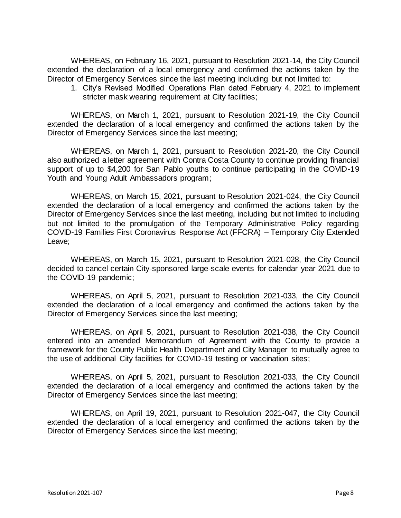WHEREAS, on February 16, 2021, pursuant to Resolution 2021-14, the City Council extended the declaration of a local emergency and confirmed the actions taken by the Director of Emergency Services since the last meeting including but not limited to:

1. City's Revised Modified Operations Plan dated February 4, 2021 to implement stricter mask wearing requirement at City facilities;

WHEREAS, on March 1, 2021, pursuant to Resolution 2021-19, the City Council extended the declaration of a local emergency and confirmed the actions taken by the Director of Emergency Services since the last meeting;

WHEREAS, on March 1, 2021, pursuant to Resolution 2021-20, the City Council also authorized a letter agreement with Contra Costa County to continue providing financial support of up to \$4,200 for San Pablo youths to continue participating in the COVID-19 Youth and Young Adult Ambassadors program;

WHEREAS, on March 15, 2021, pursuant to Resolution 2021-024, the City Council extended the declaration of a local emergency and confirmed the actions taken by the Director of Emergency Services since the last meeting, including but not limited to including but not limited to the promulgation of the Temporary Administrative Policy regarding COVID-19 Families First Coronavirus Response Act (FFCRA) – Temporary City Extended Leave;

WHEREAS, on March 15, 2021, pursuant to Resolution 2021-028, the City Council decided to cancel certain City-sponsored large-scale events for calendar year 2021 due to the COVID-19 pandemic;

WHEREAS, on April 5, 2021, pursuant to Resolution 2021-033, the City Council extended the declaration of a local emergency and confirmed the actions taken by the Director of Emergency Services since the last meeting;

WHEREAS, on April 5, 2021, pursuant to Resolution 2021-038, the City Council entered into an amended Memorandum of Agreement with the County to provide a framework for the County Public Health Department and City Manager to mutually agree to the use of additional City facilities for COVID-19 testing or vaccination sites;

WHEREAS, on April 5, 2021, pursuant to Resolution 2021-033, the City Council extended the declaration of a local emergency and confirmed the actions taken by the Director of Emergency Services since the last meeting;

WHEREAS, on April 19, 2021, pursuant to Resolution 2021-047, the City Council extended the declaration of a local emergency and confirmed the actions taken by the Director of Emergency Services since the last meeting;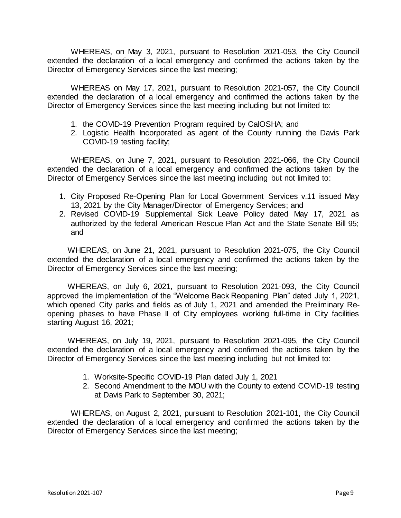WHEREAS, on May 3, 2021, pursuant to Resolution 2021-053, the City Council extended the declaration of a local emergency and confirmed the actions taken by the Director of Emergency Services since the last meeting;

WHEREAS on May 17, 2021, pursuant to Resolution 2021-057, the City Council extended the declaration of a local emergency and confirmed the actions taken by the Director of Emergency Services since the last meeting including but not limited to:

- 1. the COVID-19 Prevention Program required by CalOSHA; and
- 2. Logistic Health Incorporated as agent of the County running the Davis Park COVID-19 testing facility;

WHEREAS, on June 7, 2021, pursuant to Resolution 2021-066, the City Council extended the declaration of a local emergency and confirmed the actions taken by the Director of Emergency Services since the last meeting including but not limited to:

- 1. City Proposed Re-Opening Plan for Local Government Services v.11 issued May 13, 2021 by the City Manager/Director of Emergency Services; and
- 2. Revised COVID-19 Supplemental Sick Leave Policy dated May 17, 2021 as authorized by the federal American Rescue Plan Act and the State Senate Bill 95; and

WHEREAS, on June 21, 2021, pursuant to Resolution 2021-075, the City Council extended the declaration of a local emergency and confirmed the actions taken by the Director of Emergency Services since the last meeting;

WHEREAS, on July 6, 2021, pursuant to Resolution 2021-093, the City Council approved the implementation of the "Welcome Back Reopening Plan" dated July 1, 2021, which opened City parks and fields as of July 1, 2021 and amended the Preliminary Reopening phases to have Phase II of City employees working full-time in City facilities starting August 16, 2021;

WHEREAS, on July 19, 2021, pursuant to Resolution 2021-095, the City Council extended the declaration of a local emergency and confirmed the actions taken by the Director of Emergency Services since the last meeting including but not limited to:

- 1. Worksite-Specific COVID-19 Plan dated July 1, 2021
- 2. Second Amendment to the MOU with the County to extend COVID-19 testing at Davis Park to September 30, 2021;

WHEREAS, on August 2, 2021, pursuant to Resolution 2021-101, the City Council extended the declaration of a local emergency and confirmed the actions taken by the Director of Emergency Services since the last meeting;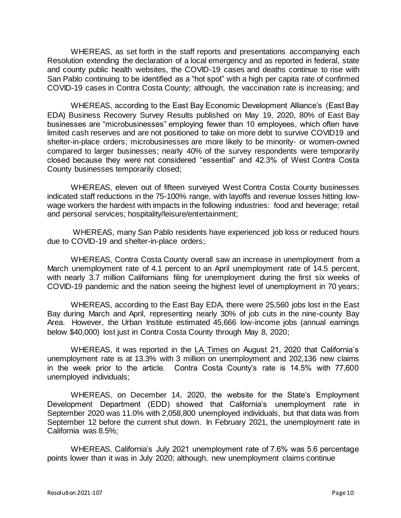WHEREAS, as set forth in the staff reports and presentations accompanying each Resolution extending the declaration of a local emergency and as reported in federal, state and county public health websites, the COVID-19 cases and deaths continue to rise with San Pablo continuing to be identified as a "hot spot" with a high per capita rate of confirmed COVID-19 cases in Contra Costa County; although, the vaccination rate is increasing; and

WHEREAS, according to the East Bay Economic Development Alliance's (East Bay EDA) Business Recovery Survey Results published on May 19, 2020, 80% of East Bay businesses are "microbusinesses" employing fewer than 10 employees, which often have limited cash reserves and are not positioned to take on more debt to survive COVID19 and shelter-in-place orders; microbusinesses are more likely to be minority- or women-owned compared to larger businesses; nearly 40% of the survey respondents were temporarily closed because they were not considered "essential" and 42.3% of West Contra Costa County businesses temporarily closed;

WHEREAS, eleven out of fifteen surveyed West Contra Costa County businesses indicated staff reductions in the 75-100% range, with layoffs and revenue losses hitting lowwage workers the hardest with impacts in the following industries: food and beverage; retail and personal services; hospitality/leisure/entertainment;

WHEREAS, many San Pablo residents have experienced job loss or reduced hours due to COVID-19 and shelter-in-place orders;

WHEREAS, Contra Costa County overall saw an increase in unemployment from a March unemployment rate of 4.1 percent to an April unemployment rate of 14.5 percent, with nearly 3.7 million Californians filing for unemployment during the first six weeks of COVID-19 pandemic and the nation seeing the highest level of unemployment in 70 years;

WHEREAS, according to the East Bay EDA, there were 25,560 jobs lost in the East Bay during March and April, representing nearly 30% of job cuts in the nine-county Bay Area. However, the Urban Institute estimated 45,666 low-income jobs (annual earnings below \$40,000) lost just in Contra Costa County through May 8, 2020;

WHEREAS, it was reported in the LA Times on August 21, 2020 that California's unemployment rate is at 13.3% with 3 million on unemployment and 202,136 new claims in the week prior to the article. Contra Costa County's rate is 14.5% with 77,600 unemployed individuals;

WHEREAS, on December 14, 2020, the website for the State's Employment Development Department (EDD) showed that California's unemployment rate in September 2020 was 11.0% with 2,058,800 unemployed individuals, but that data was from September 12 before the current shut down. In February 2021, the unemployment rate in California was 8.5%;

WHEREAS, California's July 2021 unemployment rate of 7.6% was 5.6 percentage points lower than it was in July 2020; although, new unemployment claims continue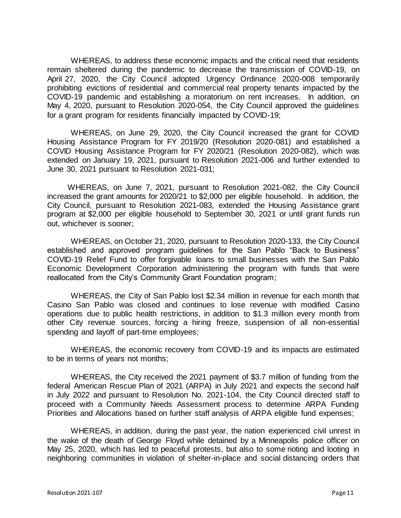WHEREAS, to address these economic impacts and the critical need that residents remain sheltered during the pandemic to decrease the transmission of COVID-19, on April 27, 2020, the City Council adopted Urgency Ordinance 2020-008 temporarily prohibiting evictions of residential and commercial real property tenants impacted by the COVID-19 pandemic and establishing a moratorium on rent increases. In addition, on May 4, 2020, pursuant to Resolution 2020-054, the City Council approved the guidelines for a grant program for residents financially impacted by COVID-19;

WHEREAS, on June 29, 2020, the City Council increased the grant for COVID Housing Assistance Program for FY 2019/20 (Resolution 2020-081) and established a COVID Housing Assistance Program for FY 2020/21 (Resolution 2020-082), which was extended on January 19, 2021, pursuant to Resolution 2021-006 and further extended to June 30, 2021 pursuant to Resolution 2021-031;

WHEREAS, on June 7, 2021, pursuant to Resolution 2021-082, the City Council increased the grant amounts for 2020/21 to \$2,000 per eligible household. In addition, the City Council, pursuant to Resolution 2021-083, extended the Housing Assistance grant program at \$2,000 per eligible household to September 30, 2021 or until grant funds run out, whichever is sooner;

WHEREAS, on October 21, 2020, pursuant to Resolution 2020-133, the City Council established and approved program guidelines for the San Pablo "Back to Business" COVID-19 Relief Fund to offer forgivable loans to small businesses with the San Pablo Economic Development Corporation administering the program with funds that were reallocated from the City's Community Grant Foundation program;

WHEREAS, the City of San Pablo lost \$2.34 million in revenue for each month that Casino San Pablo was closed and continues to lose revenue with modified Casino operations due to public health restrictions, in addition to \$1.3 million every month from other City revenue sources, forcing a hiring freeze, suspension of all non-essential spending and layoff of part-time employees;

WHEREAS, the economic recovery from COVID-19 and its impacts are estimated to be in terms of years not months;

WHEREAS, the City received the 2021 payment of \$3.7 million of funding from the federal American Rescue Plan of 2021 (ARPA) in July 2021 and expects the second half in July 2022 and pursuant to Resolution No. 2021-104, the City Council directed staff to proceed with a Community Needs Assessment process to determine ARPA Funding Priorities and Allocations based on further staff analysis of ARPA eligible fund expenses;

WHEREAS, in addition, during the past year, the nation experienced civil unrest in the wake of the death of George Floyd while detained by a Minneapolis police officer on May 25, 2020, which has led to peaceful protests, but also to some rioting and looting in neighboring communities in violation of shelter-in-place and social distancing orders that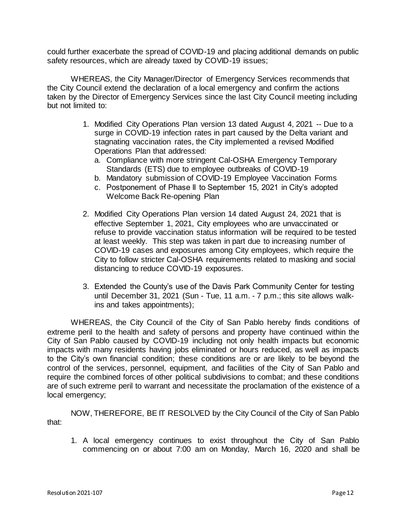could further exacerbate the spread of COVID-19 and placing additional demands on public safety resources, which are already taxed by COVID-19 issues;

WHEREAS, the City Manager/Director of Emergency Services recommends that the City Council extend the declaration of a local emergency and confirm the actions taken by the Director of Emergency Services since the last City Council meeting including but not limited to:

- 1. Modified City Operations Plan version 13 dated August 4, 2021 -- Due to a surge in COVID-19 infection rates in part caused by the Delta variant and stagnating vaccination rates, the City implemented a revised Modified Operations Plan that addressed:
	- a. Compliance with more stringent Cal-OSHA Emergency Temporary Standards (ETS) due to employee outbreaks of COVID-19
	- b. Mandatory submission of COVID-19 Employee Vaccination Forms
	- c. Postponement of Phase II to September 15, 2021 in City's adopted Welcome Back Re-opening Plan
- 2. Modified City Operations Plan version 14 dated August 24, 2021 that is effective September 1, 2021, City employees who are unvaccinated or refuse to provide vaccination status information will be required to be tested at least weekly. This step was taken in part due to increasing number of COVID-19 cases and exposures among City employees, which require the City to follow stricter Cal-OSHA requirements related to masking and social distancing to reduce COVID-19 exposures.
- 3. Extended the County's use of the Davis Park Community Center for testing until December 31, 2021 (Sun - Tue, 11 a.m. - 7 p.m.; this site allows walkins and takes appointments);

WHEREAS, the City Council of the City of San Pablo hereby finds conditions of extreme peril to the health and safety of persons and property have continued within the City of San Pablo caused by COVID-19 including not only health impacts but economic impacts with many residents having jobs eliminated or hours reduced, as well as impacts to the City's own financial condition; these conditions are or are likely to be beyond the control of the services, personnel, equipment, and facilities of the City of San Pablo and require the combined forces of other political subdivisions to combat; and these conditions are of such extreme peril to warrant and necessitate the proclamation of the existence of a local emergency;

NOW, THEREFORE, BE IT RESOLVED by the City Council of the City of San Pablo that:

1. A local emergency continues to exist throughout the City of San Pablo commencing on or about 7:00 am on Monday, March 16, 2020 and shall be